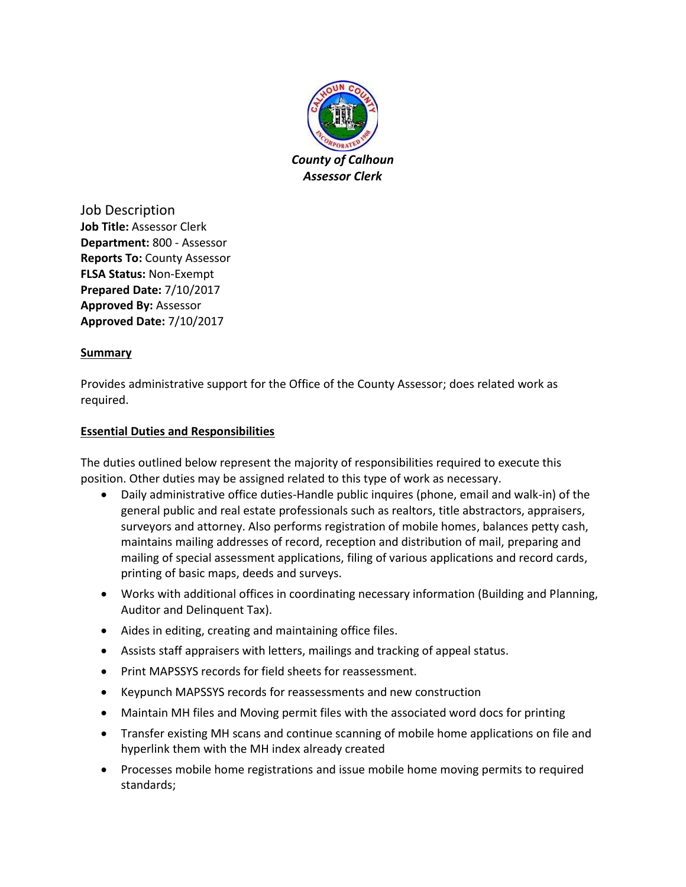

Job Description **Job Title:** Assessor Clerk **Department:** 800 - Assessor **Reports To:** County Assessor **FLSA Status:** Non-Exempt **Prepared Date:** 7/10/2017 **Approved By:** Assessor **Approved Date:** 7/10/2017

## **Summary**

Provides administrative support for the Office of the County Assessor; does related work as required.

# **Essential Duties and Responsibilities**

The duties outlined below represent the majority of responsibilities required to execute this position. Other duties may be assigned related to this type of work as necessary.

- Daily administrative office duties-Handle public inquires (phone, email and walk-in) of the general public and real estate professionals such as realtors, title abstractors, appraisers, surveyors and attorney. Also performs registration of mobile homes, balances petty cash, maintains mailing addresses of record, reception and distribution of mail, preparing and mailing of special assessment applications, filing of various applications and record cards, printing of basic maps, deeds and surveys.
- Works with additional offices in coordinating necessary information (Building and Planning, Auditor and Delinquent Tax).
- Aides in editing, creating and maintaining office files.
- Assists staff appraisers with letters, mailings and tracking of appeal status.
- Print MAPSSYS records for field sheets for reassessment.
- Keypunch MAPSSYS records for reassessments and new construction
- Maintain MH files and Moving permit files with the associated word docs for printing
- Transfer existing MH scans and continue scanning of mobile home applications on file and hyperlink them with the MH index already created
- Processes mobile home registrations and issue mobile home moving permits to required standards;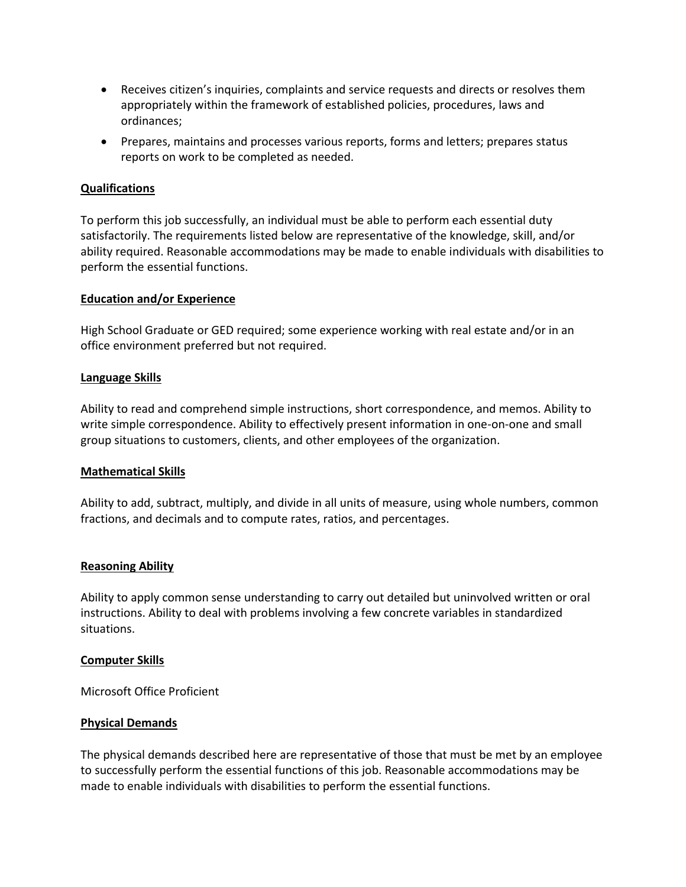- Receives citizen's inquiries, complaints and service requests and directs or resolves them appropriately within the framework of established policies, procedures, laws and ordinances;
- Prepares, maintains and processes various reports, forms and letters; prepares status reports on work to be completed as needed.

### **Qualifications**

To perform this job successfully, an individual must be able to perform each essential duty satisfactorily. The requirements listed below are representative of the knowledge, skill, and/or ability required. Reasonable accommodations may be made to enable individuals with disabilities to perform the essential functions.

### **Education and/or Experience**

High School Graduate or GED required; some experience working with real estate and/or in an office environment preferred but not required.

#### **Language Skills**

Ability to read and comprehend simple instructions, short correspondence, and memos. Ability to write simple correspondence. Ability to effectively present information in one-on-one and small group situations to customers, clients, and other employees of the organization.

### **Mathematical Skills**

Ability to add, subtract, multiply, and divide in all units of measure, using whole numbers, common fractions, and decimals and to compute rates, ratios, and percentages.

### **Reasoning Ability**

Ability to apply common sense understanding to carry out detailed but uninvolved written or oral instructions. Ability to deal with problems involving a few concrete variables in standardized situations.

#### **Computer Skills**

Microsoft Office Proficient

### **Physical Demands**

The physical demands described here are representative of those that must be met by an employee to successfully perform the essential functions of this job. Reasonable accommodations may be made to enable individuals with disabilities to perform the essential functions.